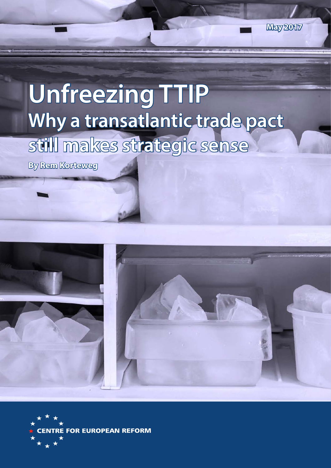# **Unfreezing TTIP**  Why a transatlantic trade pact **still makes strategic sense**

**By Rem Korteweg**



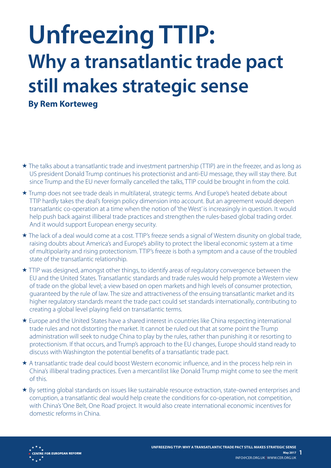# **Unfreezing TTIP: Why a transatlantic trade pact still makes strategic sense**

**By Rem Korteweg**

- The talks about a transatlantic trade and investment partnership (TTIP) are in the freezer, and as long as US president Donald Trump continues his protectionist and anti-EU message, they will stay there. But since Trump and the EU never formally cancelled the talks, TTIP could be brought in from the cold.
- Trump does not see trade deals in multilateral, strategic terms. And Europe's heated debate about TTIP hardly takes the deal's foreign policy dimension into account. But an agreement would deepen transatlantic co-operation at a time when the notion of 'the West' is increasingly in question. It would help push back against illiberal trade practices and strengthen the rules-based global trading order. And it would support European energy security.
- \* The lack of a deal would come at a cost. TTIP's freeze sends a signal of Western disunity on global trade, raising doubts about America's and Europe's ability to protect the liberal economic system at a time of multipolarity and rising protectionism. TTIP's freeze is both a symptom and a cause of the troubled state of the transatlantic relationship.
- TTIP was designed, amongst other things, to identify areas of regulatory convergence between the EU and the United States. Transatlantic standards and trade rules would help promote a Western view of trade on the global level; a view based on open markets and high levels of consumer protection, guaranteed by the rule of law. The size and attractiveness of the ensuing transatlantic market and its higher regulatory standards meant the trade pact could set standards internationally, contributing to creating a global level playing field on transatlantic terms.
- Europe and the United States have a shared interest in countries like China respecting international trade rules and not distorting the market. It cannot be ruled out that at some point the Trump administration will seek to nudge China to play by the rules, rather than punishing it or resorting to protectionism. If that occurs, and Trump's approach to the EU changes, Europe should stand ready to discuss with Washington the potential benefits of a transatlantic trade pact.
- A transatlantic trade deal could boost Western economic influence, and in the process help rein in China's illiberal trading practices. Even a mercantilist like Donald Trump might come to see the merit of this.
- By setting global standards on issues like sustainable resource extraction, state-owned enterprises and corruption, a transatlantic deal would help create the conditions for co-operation, not competition, with China's 'One Belt, One Road' project. It would also create international economic incentives for domestic reforms in China.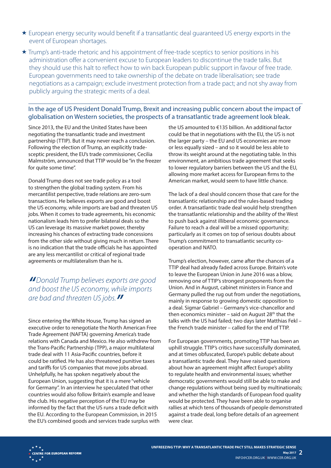- European energy security would benefit if a transatlantic deal guaranteed US energy exports in the event of European shortages.
- ★ Trump's anti-trade rhetoric and his appointment of free-trade sceptics to senior positions in his administration offer a convenient excuse to European leaders to discontinue the trade talks. But they should use this halt to reflect how to win back European public support in favour of free trade. European governments need to take ownership of the debate on trade liberalisation; see trade negotiations as a campaign; exclude investment protection from a trade pact; and not shy away from publicly arguing the strategic merits of a deal.

#### In the age of US President Donald Trump, Brexit and increasing public concern about the impact of globalisation on Western societies, the prospects of a transatlantic trade agreement look bleak.

Since 2013, the EU and the United States have been negotiating the transatlantic trade and investment partnership (TTIP). But it may never reach a conclusion. Following the election of Trump, an explicitly tradesceptic president, the EU's trade commissioner, Cecilia Malmström, announced that TTIP would be "in the freezer for quite some time".

Donald Trump does not see trade policy as a tool to strengthen the global trading system. From his mercantilist perspective, trade relations are zero-sum transactions. He believes exports are good and boost the US economy, while imports are bad and threaten US jobs. When it comes to trade agreements, his economic nationalism leads him to prefer bilateral deals so the US can leverage its massive market power, thereby increasing his chances of extracting trade concessions from the other side without giving much in return. There is no indication that the trade officials he has appointed are any less mercantilist or critical of regional trade agreements or multilateralism than he is.

# *"Donald Trump believes exports are good and boost the US economy, while imports are bad and threaten US jobs."*

Since entering the White House, Trump has signed an executive order to renegotiate the North American Free Trade Agreement (NAFTA) governing America's trade relations with Canada and Mexico. He also withdrew from the Trans-Pacific Partnership (TPP), a major multilateral trade deal with 11 Asia-Pacific countries, before it could be ratified. He has also threatened punitive taxes and tariffs for US companies that move jobs abroad. Unhelpfully, he has spoken negatively about the European Union, suggesting that it is a mere "vehicle for Germany". In an interview he speculated that other countries would also follow Britain's example and leave the club. His negative perception of the EU may be informed by the fact that the US runs a trade deficit with the EU. According to the European Commission, in 2015 the EU's combined goods and services trade surplus with

the US amounted to €135 billion. An additional factor could be that in negotiations with the EU, the US is not the larger party – the EU and US economies are more or less equally sized – and so it would be less able to throw its weight around at the negotiating table. In this environment, an ambitious trade agreement that seeks to lower regulatory barriers between the US and the EU, allowing more market access for European firms to the American market, would seem to have little chance.

The lack of a deal should concern those that care for the transatlantic relationship and the rules-based trading order. A transatlantic trade deal would help strengthen the transatlantic relationship and the ability of the West to push back against illiberal economic governance. Failure to reach a deal will be a missed opportunity; particularly as it comes on top of serious doubts about Trump's commitment to transatlantic security cooperation and NATO.

Trump's election, however, came after the chances of a TTIP deal had already faded across Europe. Britain's vote to leave the European Union in June 2016 was a blow, removing one of TTIP's strongest proponents from the Union. And in August, cabinet ministers in France and Germany pulled the rug out from under the negotiations, mainly in response to growing domestic opposition to a deal. Sigmar Gabriel – Germany's vice-chancellor and then economics minister – said on August  $28<sup>th</sup>$  that the talks with the US had failed; two days later Matthias Fekl – the French trade minister – called for the end of TTIP.

For European governments, promoting TTIP has been an uphill struggle. TTIP's critics have successfully dominated, and at times obfuscated, Europe's public debate about a transatlantic trade deal. They have raised questions about how an agreement might affect Europe's ability to regulate health and environmental issues; whether democratic governments would still be able to make and change regulations without being sued by multinationals; and whether the high standards of European food quality would be protected. They have been able to organise rallies at which tens of thousands of people demonstrated against a trade deal, long before details of an agreement were clear.

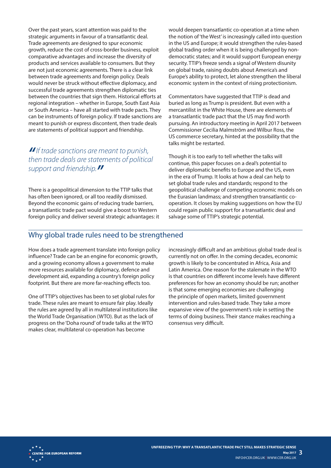Over the past years, scant attention was paid to the strategic arguments in favour of a transatlantic deal. Trade agreements are designed to spur economic growth, reduce the cost of cross-border business, exploit comparative advantages and increase the diversity of products and services available to consumers. But they are not just economic agreements. There is a clear link between trade agreements and foreign policy. Deals would never be struck without effective diplomacy, and successful trade agreements strengthen diplomatic ties between the countries that sign them. Historical efforts at regional integration – whether in Europe, South East Asia or South America – have all started with trade pacts. They can be instruments of foreign policy. If trade sanctions are meant to punish or express discontent, then trade deals are statements of political support and friendship.

# *"If trade sanctions are meant to punish, then trade deals are statements of political support and friendship."*

There is a geopolitical dimension to the TTIP talks that has often been ignored, or all too readily dismissed. Beyond the economic gains of reducing trade barriers, a transatlantic trade pact would give a boost to Western foreign policy and deliver several strategic advantages: it

would deepen transatlantic co-operation at a time when the notion of 'the West' is increasingly called into question in the US and Europe; it would strengthen the rules-based global trading order when it is being challenged by nondemocratic states; and it would support European energy security. TTIP's freeze sends a signal of Western disunity on global trade, raising doubts about America's and Europe's ability to protect, let alone strengthen the liberal economic system in the context of rising protectionism.

Commentators have suggested that TTIP is dead and buried as long as Trump is president. But even with a mercantilist in the White House, there are elements of a transatlantic trade pact that the US may find worth pursuing. An introductory meeting in April 2017 between Commissioner Cecilia Malmström and Wilbur Ross, the US commerce secretary, hinted at the possibility that the talks might be restarted.

Though it is too early to tell whether the talks will continue, this paper focuses on a deal's potential to deliver diplomatic benefits to Europe and the US, even in the era of Trump. It looks at how a deal can help to set global trade rules and standards; respond to the geopolitical challenge of competing economic models on the Eurasian landmass; and strengthen transatlantic cooperation. It closes by making suggestions on how the EU could regain public support for a transatlantic deal and salvage some of TTIP's strategic potential.

# Why global trade rules need to be strengthened

How does a trade agreement translate into foreign policy influence? Trade can be an engine for economic growth, and a growing economy allows a government to make more resources available for diplomacy, defence and development aid, expanding a country's foreign policy footprint. But there are more far-reaching effects too.

One of TTIP's objectives has been to set global rules for trade. These rules are meant to ensure fair play. Ideally the rules are agreed by all in multilateral institutions like the World Trade Organisation (WTO). But as the lack of progress on the 'Doha round' of trade talks at the WTO makes clear, multilateral co-operation has become

increasingly difficult and an ambitious global trade deal is currently not on offer. In the coming decades, economic growth is likely to be concentrated in Africa, Asia and Latin America. One reason for the stalemate in the WTO is that countries on different income levels have different preferences for how an economy should be run; another is that some emerging economies are challenging the principle of open markets, limited government intervention and rules-based trade. They take a more expansive view of the government's role in setting the terms of doing business. Their stance makes reaching a consensus very difficult.

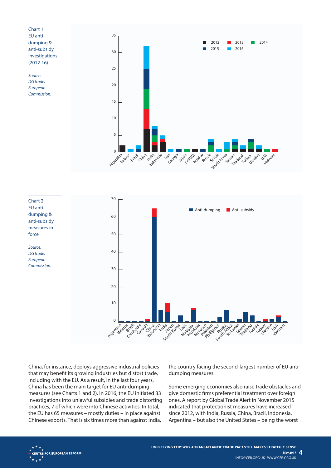



China, for instance, deploys aggressive industrial policies that may benefit its growing industries but distort trade, including with the EU. As a result, in the last four years, China has been the main target for EU anti-dumping measures (see Charts 1 and 2). In 2016, the EU initiated 33 investigations into unlawful subsidies and trade distorting practices, 7 of which were into Chinese activities. In total, the EU has 65 measures – mostly duties – in place against Chinese exports. That is six times more than against India,

the country facing the second-largest number of EU antidumping measures.

Some emerging economies also raise trade obstacles and give domestic firms preferential treatment over foreign ones. A report by Global Trade Alert in November 2015 indicated that protectionist measures have increased since 2012, with India, Russia, China, Brazil, Indonesia, Argentina – but also the United States – being the worst

**CENTRE FOR EUROPEAN REFORM**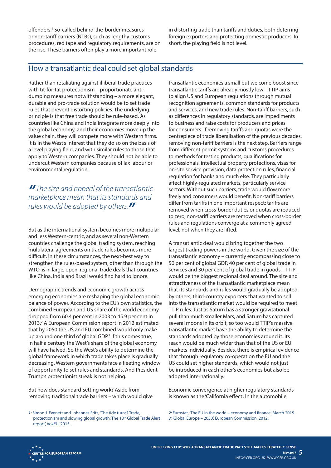offenders.1 So-called behind-the-border measures or non-tariff barriers (NTBs), such as lengthy customs procedures, red tape and regulatory requirements, are on the rise. These barriers often play a more important role

in distorting trade than tariffs and duties, both deterring foreign exporters and protecting domestic producers. In short, the playing field is not level.

### How a transatlantic deal could set global standards

Rather than retaliating against illiberal trade practices with tit-for-tat protectionism – proportionate antidumping measures notwithstanding – a more elegant, durable and pro-trade solution would be to set trade rules that prevent distorting policies. The underlying principle is that free trade should be rule-based. As countries like China and India integrate more deeply into the global economy, and their economies move up the value chain, they will compete more with Western firms. It is in the West's interest that they do so on the basis of a level playing field, and with similar rules to those that apply to Western companies. They should not be able to undercut Western companies because of lax labour or environmental regulation.

*" The size and appeal of the transatlantic marketplace mean that its standards and rules would be adopted by others."*

But as the international system becomes more multipolar and less Western-centric, and as several non-Western countries challenge the global trading system, reaching multilateral agreements on trade rules becomes more difficult. In these circumstances, the next-best way to strengthen the rules-based system, other than through the WTO, is in large, open, regional trade deals that countries like China, India and Brazil would find hard to ignore.

Demographic trends and economic growth across emerging economies are reshaping the global economic balance of power. According to the EU's own statistics, the combined European and US share of the world economy dropped from 60.4 per cent in 2003 to 45.9 per cent in 2013.<sup>2</sup> A European Commission report in 2012 estimated that by 2050 the US and EU combined would only make up around one third of global GDP.<sup>3</sup> If this comes true, in half a century the West's share of the global economy will have halved. So the West's ability to determine the global framework in which trade takes place is gradually decreasing. Western governments face a fleeting window of opportunity to set rules and standards. And President Trump's protectionist streak is not helping.

But how does standard-setting work? Aside from removing traditional trade barriers – which would give

*1:* Simon J. Evenett and Johannes Fritz, 'The tide turns? Trade, protectionism and slowing global growth: The 18<sup>th</sup> Global Trade Alert report', VoxEU, 2015.

transatlantic economies a small but welcome boost since transatlantic tariffs are already mostly low – TTIP aims to align US and European regulations through mutual recognition agreements, common standards for products and services, and new trade rules. Non-tariff barriers, such as differences in regulatory standards, are impediments to business and raise costs for producers and prices for consumers. If removing tariffs and quotas were the centrepiece of trade liberalisation of the previous decades, removing non-tariff barriers is the next step. Barriers range from different permit systems and customs procedures to methods for testing products, qualifications for professionals, intellectual property protections, visas for on-site service provision, data protection rules, financial regulation for banks and much else. They particularly affect highly-regulated markets, particularly service sectors. Without such barriers, trade would flow more freely and consumers would benefit. Non-tariff barriers differ from tariffs in one important respect: tariffs are removed when cross-border duties or quotas are reduced to zero; non-tariff barriers are removed when cross-border rules and regulations converge at a commonly agreed level, not when they are lifted.

A transatlantic deal would bring together the two largest trading powers in the world. Given the size of the transatlantic economy – currently encompassing close to 50 per cent of global GDP, 40 per cent of global trade in services and 30 per cent of global trade in goods – TTIP would be the biggest regional deal around. The size and attractiveness of the transatlantic marketplace mean that its standards and rules would gradually be adopted by others; third-country exporters that wanted to sell into the transatlantic market would be required to meet TTIP rules. Just as Saturn has a stronger gravitational pull than much smaller Mars, and Saturn has captured several moons in its orbit, so too would TTIP's massive transatlantic market have the ability to determine the standards adopted by those economies around it. Its reach would be much wider than that of the US or EU markets individually. Besides, there is empirical evidence that through regulatory co-operation the EU and the US could set higher standards, which would not just be introduced in each other's economies but also be adopted internationally.

Economic convergence at higher regulatory standards is known as the 'California effect'. In the automobile

*2:* Eurostat, 'The EU in the world – economy and finance', March 2015. *3:* 'Global Europe – 2050', European Commission, 2012.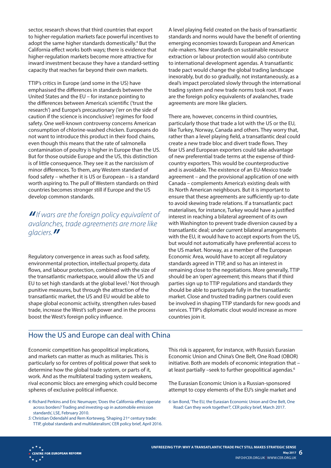sector, research shows that third countries that export to higher-regulation markets face powerful incentives to adopt the same higher standards domestically.<sup>4</sup> But the California effect works both ways; there is evidence that higher-regulation markets become more attractive for inward investment because they have a standard-setting capacity that reaches far beyond their own markets.

TTIP's critics in Europe (and some in the US) have emphasised the differences in standards between the United States and the EU – for instance pointing to the differences between America's scientific ('trust the research') and Europe's precautionary ('err on the side of caution if the science is inconclusive') regimes for food safety. One well-known controversy concerns American consumption of chlorine-washed chicken. Europeans do not want to introduce this product in their food chains, even though this means that the rate of salmonella contamination of poultry is higher in Europe than the US. But for those outside Europe and the US, this distinction is of little consequence. They see it as the narcissism of minor differences. To them, any Western standard of food safety – whether it is US or European – is a standard worth aspiring to. The pull of Western standards on third countries becomes stronger still if Europe and the US develop common standards.

# *"If wars are the foreign policy equivalent of avalanches, trade agreements are more like glaciers."*

Regulatory convergence in areas such as food safety, environmental protection, intellectual property, data flows, and labour protection, combined with the size of the transatlantic marketspace, would allow the US and EU to set high standards at the global level.<sup>5</sup> Not through punitive measures, but through the attraction of the transatlantic market, the US and EU would be able to shape global economic activity, strengthen rules-based trade, increase the West's soft power and in the process boost the West's foreign policy influence.

A level playing field created on the basis of transatlantic standards and norms would have the benefit of orienting emerging economies towards European and American rule-makers. New standards on sustainable resource extraction or labour protection would also contribute to international development agendas. A transatlantic trade pact would change the global trading landscape inexorably, but do so gradually, not instantaneously, as a deal's impact percolated slowly through the international trading system and new trade norms took root. If wars are the foreign policy equivalents of avalanches, trade agreements are more like glaciers.

There are, however, concerns in third countries, particularly those that trade a lot with the US or the EU, like Turkey, Norway, Canada and others. They worry that, rather than a level playing field, a transatlantic deal could create a new trade bloc and divert trade flows. They fear US and European exporters could take advantage of new preferential trade terms at the expense of thirdcountry exporters. This would be counterproductive and is avoidable. The existence of an EU-Mexico trade agreement – and the provisional application of one with Canada – complements America's existing deals with its North American neighbours. But it is important to ensure that these agreements are sufficiently up-to-date to avoid skewing trade relations. If a transatlantic pact materialises, for instance, Turkey would have a justified interest in reaching a bilateral agreement of its own with Washington to prevent trade diversion caused by a transatlantic deal; under current bilateral arrangements with the EU, it would have to accept exports from the US, but would not automatically have preferential access to the US market. Norway, as a member of the European Economic Area, would have to accept all regulatory standards agreed in TTIP, and so has an interest in remaining close to the negotiations. More generally, TTIP should be an 'open' agreement; this means that if third parties sign up to TTIP regulations and standards they should be able to participate fully in the transatlantic market. Close and trusted trading partners could even be involved in shaping TTIP standards for new goods and services. TTIP's diplomatic clout would increase as more countries join it.

# How the US and Europe can deal with China

Economic competition has geopolitical implications, and markets can matter as much as militaries. This is particularly so for centres of political power that seek to determine how the global trade system, or parts of it, work. And as the multilateral trading system weakens, rival economic blocs are emerging which could become spheres of exclusive political influence.

- *4:* Richard Perkins and Eric Neumayer, 'Does the California effect operate across borders? Trading and investing-up in automobile emission standards', LSE, February 2010.
- 5: Christian Odendahl and Rem Korteweg, 'Shaping 21<sup>st</sup> century trade: TTIP, global standards and multilateralism', CER policy brief, April 2016.

This risk is apparent, for instance, with Russia's Eurasian Economic Union and China's One Belt, One Road (OBOR) initiative. Both are models of economic integration that – at least partially -seek to further geopolitical agendas.<sup>6</sup>

The Eurasian Economic Union is a Russian-sponsored attempt to copy elements of the EU's single market and

*6:* Ian Bond, 'The EU, the Eurasian Economic Union and One Belt, One Road: Can they work together?', CER policy brief, March 2017.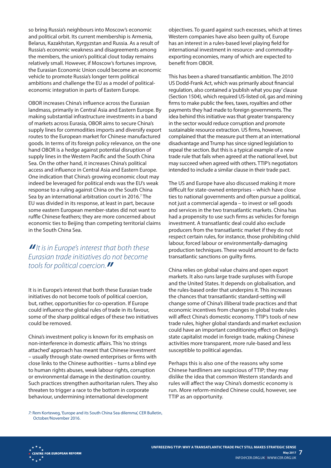so bring Russia's neighbours into Moscow's economic and political orbit. Its current membership is Armenia, Belarus, Kazakhstan, Kyrgyzstan and Russia. As a result of Russia's economic weakness and disagreements among the members, the union's political clout today remains relatively small. However, if Moscow's fortunes improve, the Eurasian Economic Union could become an economic vehicle to promote Russia's longer term political ambitions and challenge the EU as a model of politicaleconomic integration in parts of Eastern Europe.

OBOR increases China's influence across the Eurasian landmass, primarily in Central Asia and Eastern Europe. By making substantial infrastructure investments in a band of markets across Eurasia, OBOR aims to secure China's supply lines for commodities imports and diversify export routes to the European market for Chinese manufactured goods. In terms of its foreign policy relevance, on the one hand OBOR is a hedge against potential disruption of supply lines in the Western Pacific and the South China Sea. On the other hand, it increases China's political access and influence in Central Asia and Eastern Europe. One indication that China's growing economic clout may indeed be leveraged for political ends was the EU's weak response to a ruling against China on the South China Sea by an international arbitration court in 2016.<sup>7</sup> The EU was divided in its response, at least in part, because some eastern European member-states did not want to ruffle Chinese feathers; they are more concerned about economic ties to Beijing than competing territorial claims in the South China Sea.

*"It is in Europe's interest that both these Eurasian trade initiatives do not become tools for political coercion."*

It is in Europe's interest that both these Eurasian trade initiatives do not become tools of political coercion, but, rather, opportunities for co-operation. If Europe could influence the global rules of trade in its favour, some of the sharp political edges of these two initiatives could be removed.

China's investment policy is known for its emphasis on non-interference in domestic affairs. This 'no strings attached' approach has meant that Chinese investment – usually through state-owned enterprises or firms with close links to the Chinese authorities – turns a blind eye to human rights abuses, weak labour rights, corruption or environmental damage in the destination country. Such practices strengthen authoritarian rulers. They also threaten to trigger a race to the bottom in corporate behaviour, undermining international development

objectives. To guard against such excesses, which at times Western companies have also been guilty of, Europe has an interest in a rules-based level playing field for international investment in resource- and commodityexporting economies, many of which are expected to benefit from OBOR.

This has been a shared transatlantic ambition. The 2010 US Dodd-Frank Act, which was primarily about financial regulation, also contained a 'publish what you pay' clause (Section 1504), which required US-listed oil, gas and mining firms to make public the fees, taxes, royalties and other payments they had made to foreign governments. The idea behind this initiative was that greater transparency in the sector would reduce corruption and promote sustainable resource extraction. US firms, however, complained that the measure put them at an international disadvantage and Trump has since signed legislation to repeal the section. But this is a typical example of a new trade rule that fails when agreed at the national level, but may succeed when agreed with others. TTIP's negotiators intended to include a similar clause in their trade pact.

The US and Europe have also discussed making it more difficult for state-owned enterprises – which have close ties to national governments and often pursue a political, not just a commercial agenda – to invest or sell goods and services in the two transatlantic markets. China has had a propensity to use such firms as vehicles for foreign investment. A transatlantic deal could also exclude producers from the transatlantic market if they do not respect certain rules, for instance, those prohibiting child labour, forced labour or environmentally-damaging production techniques. These would amount to de facto transatlantic sanctions on guilty firms.

China relies on global value chains and open export markets. It also runs large trade surpluses with Europe and the United States. It depends on globalisation, and the rules-based order that underpins it. This increases the chances that transatlantic standard-setting will change some of China's illiberal trade practices and that economic incentives from changes in global trade rules will affect China's domestic economy. TTIP's tools of new trade rules, higher global standards and market exclusion could have an important conditioning effect on Beijing's state capitalist model in foreign trade, making Chinese activities more transparent, more rule-based and less susceptible to political agendas.

Perhaps this is also one of the reasons why some Chinese hardliners are suspicious of TTIP; they may dislike the idea that common Western standards and rules will affect the way China's domestic economy is run. More reform-minded Chinese could, however, see TTIP as an opportunity.

*7:* Rem Korteweg, 'Europe and its South China Sea dilemma', CER Bulletin, October/November 2016.

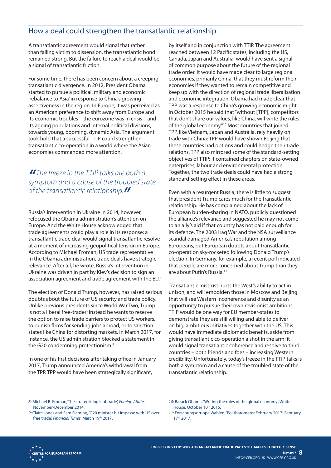# How a deal could strengthen the transatlantic relationship

A transatlantic agreement would signal that rather than falling victim to dissension, the transatlantic bond remained strong. But the failure to reach a deal would be a signal of transatlantic friction.

For some time, there has been concern about a creeping transatlantic divergence. In 2012, President Obama started to pursue a political, military and economic 'rebalance to Asia' in response to China's growing assertiveness in the region. In Europe, it was perceived as an American preference to shift away from Europe and its economic troubles – the eurozone was in crisis – and its ageing populations and internal political divisions, towards young, booming, dynamic Asia. The argument took hold that a successful TTIP could strengthen transatlantic co-operation in a world where the Asian economies commanded more attention.

# *" The freeze in the TTIP talks are both a symptom and a cause of the troubled state of the transatlantic relationship."*

Russia's intervention in Ukraine in 2014, however, refocused the Obama administration's attention on Europe. And the White House acknowledged that trade agreements could play a role in its response; a transatlantic trade deal would signal transatlantic resolve at a moment of increasing geopolitical tension in Europe. According to Michael Froman, US trade representative in the Obama administration, trade deals have strategic relevance. After all, he wrote, Russia's intervention in Ukraine was driven in part by Kiev's decision to sign an association agreement and trade agreement with the EU.8

The election of Donald Trump, however, has raised serious doubts about the future of US security and trade policy. Unlike previous presidents since World War Two, Trump is not a liberal free-trader; instead he wants to reserve the option to raise trade barriers to protect US workers, to punish firms for sending jobs abroad, or to sanction states like China for distorting markets. In March 2017, for instance, the US administration blocked a statement in the G20 condemning protectionism.<sup>9</sup>

In one of his first decisions after taking office in January 2017, Trump announced America's withdrawal from the TPP. TPP would have been strategically significant,

by itself and in conjunction with TTIP. The agreement reached between 12 Pacific states, including the US, Canada, Japan and Australia, would have sent a signal of common purpose about the future of the regional trade order. It would have made clear to large regional economies, primarily China, that they must reform their economies if they wanted to remain competitive and keep up with the direction of regional trade liberalisation and economic integration. Obama had made clear that TPP was a response to China's growing economic might. In October 2015 he said that "without [TPP], competitors that don't share our values, like China, will write the rules of the global economy."10 Most countries that joined TPP, like Vietnam, Japan and Australia, rely heavily on trade with China: TPP would have shown Beijing that these countries had options and could hedge their trade relations. TPP also mirrored some of the standard-setting objectives of TTIP; it contained chapters on state-owned enterprises, labour and environmental protection. Together, the two trade deals could have had a strong standard-setting effect in these areas.

Even with a resurgent Russia, there is little to suggest that president Trump cares much for the transatlantic relationship. He has complained about the lack of European burden-sharing in NATO, publicly questioned the alliance's relevance and suggested he may not come to an ally's aid if that country has not paid enough for its defence. The 2003 Iraq War and the NSA surveillance scandal damaged America's reputation among Europeans, but European doubts about transatlantic co-operation sky-rocketed following Donald Trump's election. In Germany, for example, a recent poll indicated that people are more concerned about Trump than they are about Putin's Russia.<sup>11</sup>

Transatlantic mistrust hurts the West's ability to act in unison, and will embolden those in Moscow and Beijing that will see Western incoherence and disunity as an opportunity to pursue their own revisionist ambitions. TTIP would be one way for EU member-states to demonstrate they are still willing and able to deliver on big, ambitious initiatives together with the US. This would have immediate diplomatic benefits, aside from giving transatlantic co-operation a shot in the arm; it would signal transatlantic coherence and resolve to third countries – both friends and foes – increasing Western credibility. Unfortunately, today's freeze in the TTIP talks is both a symptom and a cause of the troubled state of the transatlantic relationship.

*8:* Michael B. Froman,'The strategic logic of trade', *Foreign Affairs*, November/December 2014.

*<sup>10:</sup>* Barack Obama, 'Writing the rules of the global economy', White House, October 10th 2015.

*<sup>9:</sup>* Claire Jones and Sam Fleming, 'G20 minister hit impasse with US over free trade', *Financial Times*, March 19th 2017.

*<sup>11:</sup>* Forschungsgruppe Wahlen, 'Politbarometer February 2017', February 17th 2017.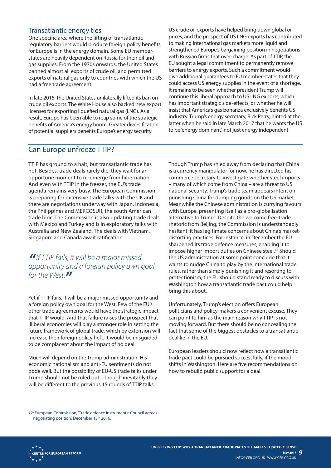#### Transatlantic energy ties

One specific area where the lifting of transatlantic regulatory barriers would produce foreign policy benefits for Europe is in the energy domain. Some EU memberstates are heavily dependent on Russia for their oil and gas supplies. From the 1970s onwards, the United States banned almost all exports of crude oil, and permitted exports of natural gas only to countries with which the US had a free trade agreement.

In late 2015, the United States unilaterally lifted its ban on crude oil exports. The White House also backed new export licenses for exporting liquefied natural gas (LNG). As a result, Europe has been able to reap some of the strategic benefits of America's energy boom. Greater diversification of potential suppliers benefits Europe's energy security.

US crude oil exports have helped bring down global oil prices, and the prospect of US LNG exports has contributed to making international gas markets more liquid and strengthened Europe's bargaining position in negotiations with Russian firms that over-charge. As part of TTIP, the EU sought a legal commitment to permanently remove barriers to energy exports. Such a commitment would give additional guarantees to EU member-states that they could access US energy supplies in the event of a shortage. It remains to be seen whether president Trump will continue this liberal approach to US LNG exports, which has important strategic side-effects, or whether he will insist that America's gas bonanza exclusively benefits US industry. Trump's energy secretary, Rick Perry, hinted at the latter when he said in late March 2017 that he wants the US to be 'energy dominant', not just energy independent.

### Can Europe unfreeze TTIP?

TTIP has ground to a halt, but transatlantic trade has not. Besides, trade deals rarely die; they wait for an opportune moment to re-emerge from hibernation. And even with TTIP in the freezer, the EU's trade agenda remains very busy. The European Commission is preparing for extensive trade talks with the UK and there are negotiations underway with Japan, Indonesia, the Philippines and MERCOSUR, the south American trade bloc. The Commission is also updating trade deals with Mexico and Turkey and is in exploratory talks with Australia and New Zealand. The deals with Vietnam, Singapore and Canada await ratification.

# *"If TTIP fails, it will be a major missed opportunity and a foreign policy own goal for the West*.

Yet if TTIP fails, it will be a major missed opportunity and a foreign policy own goal for the West. Few of the EU's other trade agreements would have the strategic impact that TTIP would. And that failure raises the prospect that illiberal economies will play a stronger role in setting the future framework of global trade, which by extension will increase their foreign policy heft. It would be misguided to be complacent about the impact of no deal.

Much will depend on the Trump administration. His economic nationalism and anti-EU sentiments do not bode well. But the possibility of EU-US trade talks under Trump should not be ruled out – though inevitably they will be different to the previous 15 rounds of TTIP talks.

Though Trump has shied away from declaring that China is a currency manipulator for now, he has directed his commerce secretary to investigate whether steel imports – many of which come from China – are a threat to US national security. Trump's trade team appears intent on punishing China for dumping goods on the US market. Meanwhile the Chinese administration is currying favours with Europe, presenting itself as a pro-globalisation alternative to Trump. Despite the welcome free-trade rhetoric from Beijing, the Commission is understandably hesitant; it has legitimate concerns about China's marketdistorting practices. For instance, in December the EU sharpened its trade defence measures, enabling it to impose higher import duties on Chinese steel.12 Should the US administration at some point conclude that it wants to nudge China to play by the international trade rules, rather than simply punishing it and resorting to protectionism, the EU should stand ready to discuss with Washington how a transatlantic trade pact could help bring this about.

Unfortunately, Trump's election offers European politicians and policy-makers a convenient excuse. They can point to him as the main reason why TTIP is not moving forward. But there should be no concealing the fact that some of the biggest obstacles to a transatlantic deal lie in the EU.

European leaders should now reflect how a transatlantic trade pact could be pursued successfully, if the mood shifts in Washington. Here are five recommendations on how to rebuild public support for a deal.

*12:* European Commission, 'Trade defence instruments: Council agrees negotiating position', December 13<sup>th</sup> 2016.

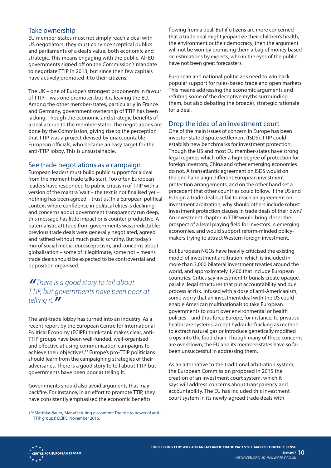#### Take ownership

EU member-states must not simply reach a deal with US negotiators; they must convince sceptical publics and parliaments of a deal's value, both economic and strategic. This means engaging with the public. All EU governments signed off on the Commission's mandate to negotiate TTIP in 2013, but since then few capitals have actively promoted it to their citizens.

The UK – one of Europe's strongest proponents in favour of TTIP – was one promoter, but it is leaving the EU. Among the other member-states, particularly in France and Germany, government ownership of TTIP has been lacking. Though the economic and strategic benefits of a deal accrue to the member-states, the negotiations are done by the Commission, giving rise to the perception that TTIP was a project devised by unaccountable European officials, who became an easy target for the anti-TTIP lobby. This is unsustainable.

#### See trade negotiations as a campaign

European leaders must build public support for a deal from the moment trade talks start. Too often European leaders have responded to public criticism of TTIP with a version of the mantra 'wait – the text is not finalised yet – nothing has been agreed – trust us.' In a European political context where confidence in political elites is declining, and concerns about government transparency run deep, this message has little impact or is counter-productive. A paternalistic attitude from governments was predictable; previous trade deals were generally negotiated, agreed and ratified without much public scrutiny. But today's mix of social media, euroscepticism, and concerns about globalisation – some of it legitimate, some not – means trade deals should be expected to be controversial and opposition organised.

# *" There is a good story to tell about TTIP, but governments have been poor at telling it."*

The anti-trade lobby has turned into an industry. As a recent report by the European Centre for International Political Economy (ECIPE) think-tank makes clear, anti-TTIP groups have been well-funded, well-organised and effective at using communication campaigns to achieve their objectives.13 Europe's pro-TTIP politicians should learn from the campaigning strategies of their adversaries. There is a good story to tell about TTIP, but governments have been poor at telling it.

Governments should also avoid arguments that may backfire. For instance, in an effort to promote TTIP, they have consistently emphasised the economic benefits

*13:* Matthias Bauer, 'Manufacturing discontent: The rise to power of anti-TTIP groups', ECIPE, November 2016.

flowing from a deal. But if citizens are more concerned that a trade deal might jeopardize their children's health, the environment or their democracy, then the argument will not be won by promising them a bag of money based on estimations by experts, who in the eyes of the public have not been great forecasters.

European and national politicians need to win back popular support for rules-based trade and open markets. This means addressing the economic arguments and refuting some of the deceptive myths surrounding them, but also debating the broader, strategic rationale for a deal.

#### Drop the idea of an investment court

One of the main issues of concern in Europe has been investor-state dispute settlement (ISDS). TTIP could establish new benchmarks for investment protection. Though the US and most EU member-states have strong legal regimes which offer a high degree of protection for foreign investors, China and other emerging economies do not. A transatlantic agreement on ISDS would on the one hand align different European investment protection arrangements, and on the other hand set a precedent that other countries could follow. If the US and EU sign a trade deal but fail to reach an agreement on investment arbitration, why should others include robust investment protection clauses in trade deals of their own? An investment chapter in TTIP would bring closer the prospect of a level playing field for investors in emerging economies, and would support reform-minded policymakers trying to attract Western foreign investment.

But European NGOs have heavily criticised the existing model of investment arbitration, which is included in more than 3,000 bilateral investment treaties around the world, and approximately 1,400 that include European countries. Critics say investment tribunals create opaque, parallel legal structures that put accountability and due process at risk. Infused with a dose of anti-Americanism, some worry that an investment deal with the US could enable American multinationals to take European governments to court over environmental or health policies – and thus force Europe, for instance, to privatise healthcare systems, accept hydraulic fracking as method to extract natural gas or introduce genetically modified crops into the food chain. Though many of these concerns are overblown, the EU and its member-states have so far been unsuccessful in addressing them.

As an alternative to the traditional arbitration system, the European Commission proposed in 2015 the creation of an investment court system, which it says will address concerns about transparency and accountability. The EU has included this investment court system in its newly-agreed trade deals with